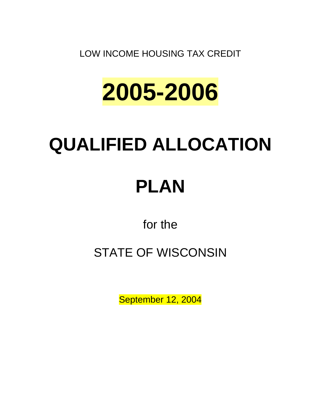LOW INCOME HOUSING TAX CREDIT



# **QUALIFIED ALLOCATION**

# **PLAN**

for the

## STATE OF WISCONSIN

September 12, 2004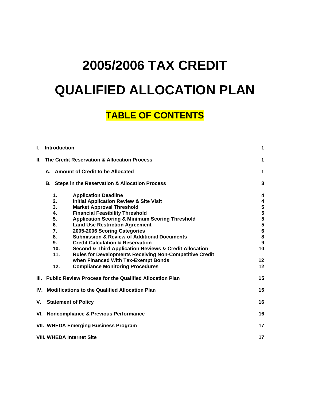## **2005/2006 TAX CREDIT QUALIFIED ALLOCATION PLAN**

## **TABLE OF CONTENTS**

| I.  | <b>Introduction</b>                                         |                                                                            |               |
|-----|-------------------------------------------------------------|----------------------------------------------------------------------------|---------------|
| Н.  | The Credit Reservation & Allocation Process                 |                                                                            | 1             |
|     | A. Amount of Credit to be Allocated                         |                                                                            |               |
|     |                                                             | <b>B.</b> Steps in the Reservation & Allocation Process                    | 3             |
|     | 1.                                                          | <b>Application Deadline</b>                                                | 4             |
|     | 2.<br>3.                                                    | <b>Initial Application Review &amp; Site Visit</b>                         | 4             |
|     | 4.                                                          | <b>Market Approval Threshold</b><br><b>Financial Feasibility Threshold</b> | ${\bf 5}$     |
|     | 5.                                                          | <b>Application Scoring &amp; Minimum Scoring Threshold</b>                 | $\frac{5}{5}$ |
|     | 6.                                                          | <b>Land Use Restriction Agreement</b>                                      |               |
|     | 7.                                                          | 2005-2006 Scoring Categories                                               | $\bf 6$       |
|     | 8.                                                          | <b>Submission &amp; Review of Additional Documents</b>                     | 8             |
|     | 9.                                                          | <b>Credit Calculation &amp; Reservation</b>                                | 9             |
|     | 10.                                                         | <b>Second &amp; Third Application Reviews &amp; Credit Allocation</b>      | 10            |
|     | 11.                                                         | <b>Rules for Developments Receiving Non-Competitive Credit</b>             |               |
|     |                                                             | when Financed With Tax-Exempt Bonds                                        | 12            |
|     | 12.                                                         | <b>Compliance Monitoring Procedures</b>                                    | 12            |
|     |                                                             | III. Public Review Process for the Qualified Allocation Plan               | 15            |
| IV. | <b>Modifications to the Qualified Allocation Plan</b><br>15 |                                                                            |               |
| ۷.  | <b>Statement of Policy</b>                                  |                                                                            |               |
|     | VI. Noncompliance & Previous Performance<br>16              |                                                                            |               |
|     | <b>VII. WHEDA Emerging Business Program</b><br>17           |                                                                            |               |
|     | 17<br><b>VIII. WHEDA Internet Site</b>                      |                                                                            |               |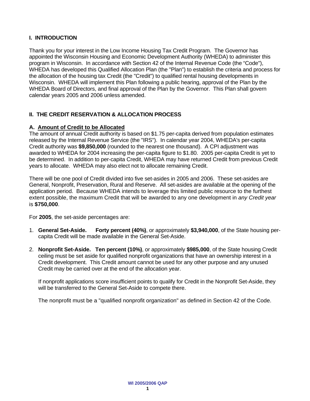#### **I. INTRODUCTION**

Thank you for your interest in the Low Income Housing Tax Credit Program. The Governor has appointed the Wisconsin Housing and Economic Development Authority (WHEDA) to administer this program in Wisconsin. In accordance with Section 42 of the Internal Revenue Code (the "Code"), WHEDA has developed this Qualified Allocation Plan (the "Plan") to establish the criteria and process for the allocation of the housing tax Credit (the "Credit") to qualified rental housing developments in Wisconsin. WHEDA will implement this Plan following a public hearing, approval of the Plan by the WHEDA Board of Directors, and final approval of the Plan by the Governor. This Plan shall govern calendar years 2005 and 2006 unless amended.

#### **II. THE CREDIT RESERVATION & ALLOCATION PROCESS**

#### **A. Amount of Credit to be Allocated**

The amount of annual Credit authority is based on \$1.75 per-capita derived from population estimates released by the Internal Revenue Service (the "IRS"). In calendar year 2004, WHEDA's per-capita Credit authority was **\$9,850,000** (rounded to the nearest one thousand). A CPI adjustment was awarded to WHEDA for 2004 increasing the per-capita figure to \$1.80. 2005 per-capita Credit is yet to be determined. In addition to per-capita Credit, WHEDA may have returned Credit from previous Credit years to allocate. WHEDA may also elect not to allocate remaining Credit.

There will be one pool of Credit divided into five set-asides in 2005 and 2006. These set-asides are General, Nonprofit, Preservation, Rural and Reserve. All set-asides are available at the opening of the application period. Because WHEDA intends to leverage this limited public resource to the furthest extent possible, the maximum Credit that will be awarded to any one development in *any Credit year* is **\$750,000**.

For **2005**, the set-aside percentages are:

- 1. **General Set-Aside. Forty percent (40%)**, or approximately **\$3,940,000**, of the State housing percapita Credit will be made available in the General Set-Aside.
- 2. **Nonprofit Set-Aside. Ten percent (10%)**, or approximately **\$985,000**, of the State housing Credit ceiling must be set aside for qualified nonprofit organizations that have an ownership interest in a Credit development. This Credit amount cannot be used for any other purpose and any unused Credit may be carried over at the end of the allocation year.

If nonprofit applications score insufficient points to qualify for Credit in the Nonprofit Set-Aside, they will be transferred to the General Set-Aside to compete there.

The nonprofit must be a "qualified nonprofit organization" as defined in Section 42 of the Code.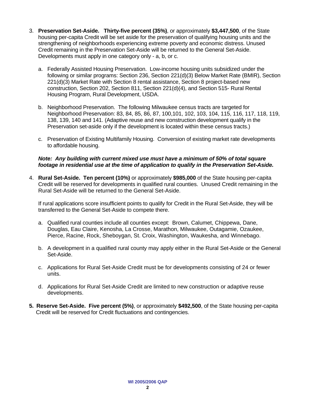- 3. **Preservation Set-Aside. Thirty-five percent (35%)**, or approximately **\$3,447,500**, of the State housing per-capita Credit will be set aside for the preservation of qualifying housing units and the strengthening of neighborhoods experiencing extreme poverty and economic distress. Unused Credit remaining in the Preservation Set-Aside will be returned to the General Set-Aside. Developments must apply in one category only - a, b, or c.
	- a. Federally Assisted Housing Preservation. Low-income housing units subsidized under the following or similar programs: Section 236, Section 221(d)(3) Below Market Rate (BMIR), Section 221(d)(3) Market Rate with Section 8 rental assistance, Section 8 project-based new construction, Section 202, Section 811, Section 221(d)(4), and Section 515- Rural Rental Housing Program, Rural Development, USDA.
	- b. Neighborhood Preservation. The following Milwaukee census tracts are targeted for Neighborhood Preservation: 83, 84, 85, 86, 87, 100,101, 102, 103, 104, 115, 116, 117, 118, 119, 138, 139, 140 and 141. (Adaptive reuse and new construction development qualify in the Preservation set-aside only if the development is located within these census tracts.)
	- c. Preservation of Existing Multifamily Housing. Conversion of existing market rate developments to affordable housing.

#### *Note: Any building with current mixed use must have a minimum of 50% of total square footage in residential use at the time of application to qualify in the Preservation Set-Aside.*

4. **Rural Set-Aside. Ten percent (10%)** or approximately **\$985,000** of the State housing per-capita Credit will be reserved for developments in qualified rural counties. Unused Credit remaining in the Rural Set-Aside will be returned to the General Set-Aside.

If rural applications score insufficient points to qualify for Credit in the Rural Set-Aside, they will be transferred to the General Set-Aside to compete there.

- a. Qualified rural counties include all counties except: Brown, Calumet, Chippewa, Dane, Douglas, Eau Claire, Kenosha, La Crosse, Marathon, Milwaukee, Outagamie, Ozaukee, Pierce, Racine, Rock, Sheboygan, St. Croix, Washington, Waukesha, and Winnebago.
- b. A development in a qualified rural county may apply either in the Rural Set-Aside or the General Set-Aside.
- c. Applications for Rural Set-Aside Credit must be for developments consisting of 24 or fewer units.
- d. Applications for Rural Set-Aside Credit are limited to new construction or adaptive reuse developments.
- **5. Reserve Set-Aside. Five percent (5%)**, or approximately **\$492,500**, of the State housing per-capita Credit will be reserved for Credit fluctuations and contingencies.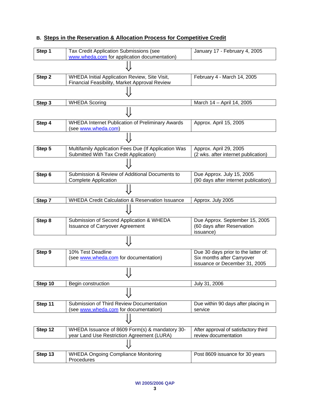### **B. Steps in the Reservation & Allocation Process for Competitive Credit**

| Step 1  | Tax Credit Application Submissions (see<br>www.wheda.com for application documentation)        | January 17 - February 4, 2005                                                                      |
|---------|------------------------------------------------------------------------------------------------|----------------------------------------------------------------------------------------------------|
|         |                                                                                                |                                                                                                    |
| Step 2  | WHEDA Initial Application Review, Site Visit,<br>Financial Feasibility, Market Approval Review | February 4 - March 14, 2005                                                                        |
|         |                                                                                                |                                                                                                    |
| Step 3  | <b>WHEDA Scoring</b>                                                                           | March 14 - April 14, 2005                                                                          |
|         |                                                                                                |                                                                                                    |
| Step 4  | <b>WHEDA Internet Publication of Preliminary Awards</b><br>(see www.wheda.com)                 | Approx. April 15, 2005                                                                             |
|         |                                                                                                |                                                                                                    |
| Step 5  | Multifamily Application Fees Due (If Application Was                                           | Approx. April 29, 2005                                                                             |
|         | Submitted With Tax Credit Application)                                                         | (2 wks. after internet publication)                                                                |
|         |                                                                                                |                                                                                                    |
| Step 6  | Submission & Review of Additional Documents to                                                 | Due Approx. July 15, 2005                                                                          |
|         | <b>Complete Application</b>                                                                    | (90 days after internet publication)                                                               |
|         |                                                                                                |                                                                                                    |
| Step 7  | WHEDA Credit Calculation & Reservation Issuance                                                | Approx. July 2005                                                                                  |
|         |                                                                                                |                                                                                                    |
| Step 8  | Submission of Second Application & WHEDA<br><b>Issuance of Carryover Agreement</b>             | Due Approx. September 15, 2005<br>(60 days after Reservation<br>issuance)                          |
|         |                                                                                                |                                                                                                    |
| Step 9  | 10% Test Deadline<br>(see www.wheda.com for documentation)                                     | Due 30 days prior to the latter of:<br>Six months after Carryover<br>issuance or December 31, 2005 |
|         | ⇓                                                                                              |                                                                                                    |
| Step 10 | Begin construction                                                                             | July 31, 2006                                                                                      |
|         |                                                                                                |                                                                                                    |
| Step 11 | Submission of Third Review Documentation<br>(see www.wheda.com for documentation)              | Due within 90 days after placing in<br>service                                                     |
|         |                                                                                                |                                                                                                    |
| Step 12 | WHEDA Issuance of 8609 Form(s) & mandatory 30-<br>year Land Use Restriction Agreement (LURA)   | After approval of satisfactory third<br>review documentation                                       |
|         |                                                                                                |                                                                                                    |
| Step 13 | <b>WHEDA Ongoing Compliance Monitoring</b><br>Procedures                                       | Post 8609 issuance for 30 years                                                                    |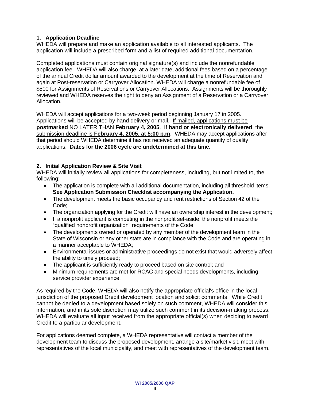### **1. Application Deadline**

WHEDA will prepare and make an application available to all interested applicants. The application will include a prescribed form and a list of required additional documentation.

Completed applications must contain original signature(s) and include the nonrefundable application fee. WHEDA will also charge, at a later date, additional fees based on a percentage of the annual Credit dollar amount awarded to the development at the time of Reservation and again at Post-reservation or Carryover Allocation. WHEDA will charge a nonrefundable fee of \$500 for Assignments of Reservations or Carryover Allocations. Assignments will be thoroughly reviewed and WHEDA reserves the right to deny an Assignment of a Reservation or a Carryover Allocation.

WHEDA will accept applications for a two-week period beginning January 17 in 2005. Applications will be accepted by hand delivery or mail. If mailed, applications must be **postmarked** NO LATER THAN **February 4, 2005**. If **hand or electronically delivered**, the submission deadline is **February 4, 2005, at 5:00 p.m**. WHEDA may accept applications after that period should WHEDA determine it has not received an adequate quantity of quality applications. **Dates for the 2006 cycle are undetermined at this time.** 

#### **2. Initial Application Review & Site Visit**

WHEDA will initially review all applications for completeness, including, but not limited to, the following:

- The application is complete with all additional documentation, including all threshold items. **See Application Submission Checklist accompanying the Application.**
- The development meets the basic occupancy and rent restrictions of Section 42 of the Code;
- The organization applying for the Credit will have an ownership interest in the development;
- If a nonprofit applicant is competing in the nonprofit set-aside, the nonprofit meets the "qualified nonprofit organization" requirements of the Code;
- The developments owned or operated by any member of the development team in the State of Wisconsin or any other state are in compliance with the Code and are operating in a manner acceptable to WHEDA;
- Environmental issues or administrative proceedings do not exist that would adversely affect the ability to timely proceed;
- The applicant is sufficiently ready to proceed based on site control; and
- Minimum requirements are met for RCAC and special needs developments, including service provider experience.

As required by the Code, WHEDA will also notify the appropriate official's office in the local jurisdiction of the proposed Credit development location and solicit comments. While Credit cannot be denied to a development based solely on such comment, WHEDA will consider this information, and in its sole discretion may utilize such comment in its decision-making process. WHEDA will evaluate all input received from the appropriate official(s) when deciding to award Credit to a particular development.

For applications deemed complete, a WHEDA representative will contact a member of the development team to discuss the proposed development, arrange a site/market visit, meet with representatives of the local municipality, and meet with representatives of the development team.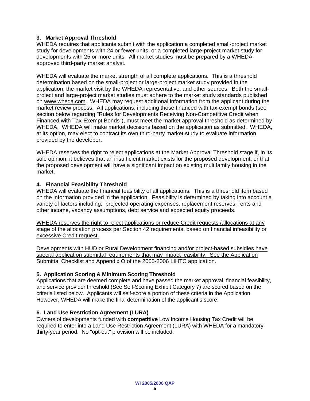#### **3. Market Approval Threshold**

WHEDA requires that applicants submit with the application a completed small-project market study for developments with 24 or fewer units, or a completed large-project market study for developments with 25 or more units. All market studies must be prepared by a WHEDAapproved third-party market analyst.

WHEDA will evaluate the market strength of all complete applications. This is a threshold determination based on the small-project or large-project market study provided in the application, the market visit by the WHEDA representative, and other sources. Both the smallproject and large-project market studies must adhere to the market study standards published on [www.wheda.com.](http://www.wheda.com/) WHEDA may request additional information from the applicant during the market review process. All applications, including those financed with tax-exempt bonds (see section below regarding "Rules for Developments Receiving Non-Competitive Credit when Financed with Tax-Exempt Bonds"), must meet the market approval threshold as determined by WHEDA. WHEDA will make market decisions based on the application as submitted. WHEDA, at its option, may elect to contract its own third-party market study to evaluate information provided by the developer.

WHEDA reserves the right to reject applications at the Market Approval Threshold stage if, in its sole opinion, it believes that an insufficient market exists for the proposed development, or that the proposed development will have a significant impact on existing multifamily housing in the market.

#### **4. Financial Feasibility Threshold**

WHEDA will evaluate the financial feasibility of all applications. This is a threshold item based on the information provided in the application. Feasibility is determined by taking into account a variety of factors including: projected operating expenses, replacement reserves, rents and other income, vacancy assumptions, debt service and expected equity proceeds.

WHEDA reserves the right to reject applications or reduce Credit requests /allocations at any stage of the allocation process per Section 42 requirements, based on financial infeasibility or excessive Credit request.

Developments with HUD or Rural Development financing and/or project-based subsidies have special application submittal requirements that may impact feasibility. See the Application Submittal Checklist and Appendix O of the 2005-2006 LIHTC application.

#### **5. Application Scoring & Minimum Scoring Threshold**

Applications that are deemed complete and have passed the market approval, financial feasibility, and service provider threshold (See Self-Scoring Exhibit Category 7) are scored based on the criteria listed below. Applicants will self-score a portion of these criteria in the Application. However, WHEDA will make the final determination of the applicant's score.

#### **6. Land Use Restriction Agreement (LURA)**

Owners of developments funded with **competitive** Low Income Housing Tax Credit will be required to enter into a Land Use Restriction Agreement (LURA) with WHEDA for a mandatory thirty-year period. No "opt-out" provision will be included.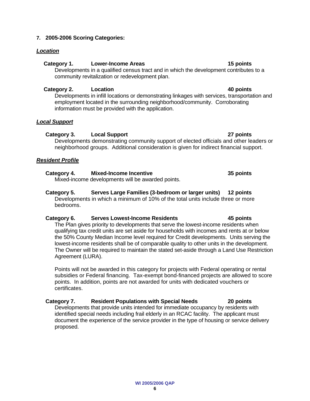#### **WI 2005/2006 QAP 6**

#### **7. 2005-2006 Scoring Categories:**

#### *Location*

#### Category 1. Lower-Income Areas **15 points** 15 points

 Developments in a qualified census tract and in which the development contributes to a community revitalization or redevelopment plan.

### **Category 2. Location 40 points**

 Developments in infill locations or demonstrating linkages with services, transportation and employment located in the surrounding neighborhood/community. Corroborating information must be provided with the application.

### *Local Support*

### **Category 3. Local Support 27 points**

 Developments demonstrating community support of elected officials and other leaders or neighborhood groups. Additional consideration is given for indirect financial support.

### *Resident Profile*

#### **Category 4. Mixed-Income Incentive 35 points** Mixed-income developments will be awarded points.

**Category 5. Serves Large Families (3-bedroom or larger units) 12 points**  Developments in which a minimum of 10% of the total units include three or more bedrooms.

### **Category 6. Serves Lowest-Income Residents 45 points**

The Plan gives priority to developments that serve the lowest-income residents when qualifying tax credit units are set aside for households with incomes and rents at or below the 50% County Median Income level required for Credit developments. Units serving the lowest-income residents shall be of comparable quality to other units in the development. The Owner will be required to maintain the stated set-aside through a Land Use Restriction Agreement (LURA).

Points will not be awarded in this category for projects with Federal operating or rental subsidies or Federal financing. Tax-exempt bond-financed projects are allowed to score points. In addition, points are not awarded for units with dedicated vouchers or certificates.

### **Category 7. Resident Populations with Special Needs 20 points**

Developments that provide units intended for immediate occupancy by residents with identified special needs including frail elderly in an RCAC facility. The applicant must document the experience of the service provider in the type of housing or service delivery proposed.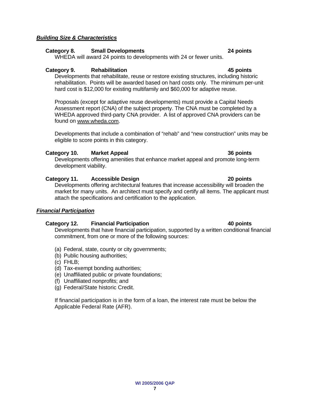### *Building Size & Characteristics*

### **Category 8. Small Developments 24 points**

WHEDA will award 24 points to developments with 24 or fewer units.

### **Category 9. Rehabilitation 45 points**

Developments that rehabilitate, reuse or restore existing structures, including historic rehabilitation. Points will be awarded based on hard costs only. The minimum per-unit hard cost is \$12,000 for existing multifamily and \$60,000 for adaptive reuse.

Proposals (except for adaptive reuse developments) must provide a Capital Needs Assessment report (CNA) of the subject property. The CNA must be completed by a WHEDA approved third-party CNA provider. A list of approved CNA providers can be found on www.wheda.com.

Developments that include a combination of "rehab" and "new construction" units may be eligible to score points in this category.

### **Category 10. Market Appeal 36 points**

Developments offering amenities that enhance market appeal and promote long-term development viability.

### **Category 11. Accessible Design 20 points**

Developments offering architectural features that increase accessibility will broaden the market for many units. An architect must specify and certify all items. The applicant must attach the specifications and certification to the application.

### *Financial Participation*

### **Category 12. Financial Participation 40 points**

Developments that have financial participation, supported by a written conditional financial commitment, from one or more of the following sources:

- (a) Federal, state, county or city governments;
- (b) Public housing authorities;
- (c) FHLB;
- (d) Tax-exempt bonding authorities;
- (e) Unaffiliated public or private foundations;
- (f) Unaffiliated nonprofits; and
- (g) Federal/State historic Credit.

If financial participation is in the form of a loan, the interest rate must be below the Applicable Federal Rate (AFR).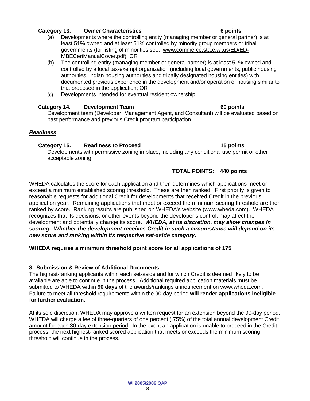### **Category 13. Owner Characteristics 6 points**

- (a) Developments where the controlling entity (managing member or general partner) is at least 51% owned and at least 51% controlled by minority group members or tribal governments (for listing of minorities see: [www.commerce.state.wi.us/ED/ED-](http://www.commerce.state.wi.us/ED/ED-MBECertManualCover.pdf)[MBECertManualCover.pdf](http://www.commerce.state.wi.us/ED/ED-MBECertManualCover.pdf)); OR
- (b) The controlling entity (managing member or general partner) is at least 51% owned and controlled by a local tax-exempt organization (including local governments, public housing authorities, Indian housing authorities and tribally designated housing entities) with documented previous experience in the development and/or operation of housing similar to that proposed in the application; OR
- (c) Developments intended for eventual resident ownership.

### **Category 14. Development Team 60 points**

Development team (Developer, Management Agent, and Consultant) will be evaluated based on past performance and previous Credit program participation.

### *Readiness*

### **Category 15. Readiness to Proceed 15 points**

Developments with permissive zoning in place, including any conditional use permit or other acceptable zoning.

### **TOTAL POINTS: 440 points**

WHEDA calculates the score for each application and then determines which applications meet or exceed a minimum established scoring threshold. These are then ranked. First priority is given to reasonable requests for additional Credit for developments that received Credit in the previous application year. Remaining applications that meet or exceed the minimum scoring threshold are then ranked by score. Ranking results are published on WHEDA's website (www.wheda.com). WHEDA recognizes that its decisions, or other events beyond the developer's control, may affect the development and potentially change its score. *WHEDA, at its discretion, may allow changes in scoring. Whether the development receives Credit in such a circumstance will depend on its new score and ranking within its respective set-aside category.* 

**WHEDA requires a minimum threshold point score for all applications of 175**.

### **8. Submission & Review of Additional Documents**

The highest-ranking applicants within each set-aside and for which Credit is deemed likely to be available are able to continue in the process. Additional required application materials must be submitted to WHEDA within **90 days** of the awards/rankings announcement on www.wheda.com. Failure to meet all threshold requirements within the 90-day period **will render applications ineligible for further evaluation**.

At its sole discretion, WHEDA may approve a written request for an extension beyond the 90-day period, WHEDA will charge a fee of three-quarters of one percent (.75%) of the total annual development Credit amount for each 30-day extension period. In the event an application is unable to proceed in the Credit process, the next highest-ranked scored application that meets or exceeds the minimum scoring threshold will continue in the process.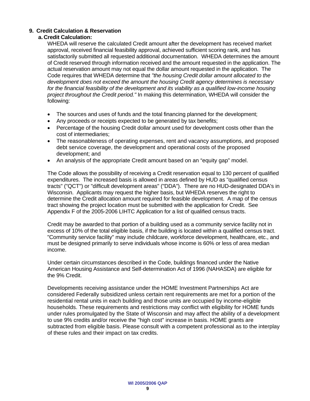#### **9. Credit Calculation & Reservation**

#### **a. Credit Calculation:**

WHEDA will reserve the calculated Credit amount after the development has received market approval, received financial feasibility approval, achieved sufficient scoring rank, and has satisfactorily submitted all requested additional documentation. WHEDA determines the amount of Credit reserved through information received and the amount requested in the application. The actual reservation amount may not equal the dollar amount requested in the application. The Code requires that WHEDA determine that *"the housing Credit dollar amount allocated to the development does not exceed the amount the housing Credit agency determines is necessary for the financial feasibility of the development and its viability as a qualified low-income housing project throughout the Credit period."* In making this determination, WHEDA will consider the following:

- The sources and uses of funds and the total financing planned for the development;
- Any proceeds or receipts expected to be generated by tax benefits;
- Percentage of the housing Credit dollar amount used for development costs other than the cost of intermediaries;
- The reasonableness of operating expenses, rent and vacancy assumptions, and proposed debt service coverage, the development and operational costs of the proposed development; and
- An analysis of the appropriate Credit amount based on an "equity gap" model.

The Code allows the possibility of receiving a Credit reservation equal to 130 percent of qualified expenditures. The increased basis is allowed in areas defined by HUD as "qualified census tracts" ("QCT") or "difficult development areas" ("DDA"). There are no HUD-designated DDA's in Wisconsin. Applicants may request the higher basis, but WHEDA reserves the right to determine the Credit allocation amount required for feasible development. A map of the census tract showing the project location must be submitted with the application for Credit. See Appendix F of the 2005-2006 LIHTC Application for a list of qualified census tracts.

Credit may be awarded to that portion of a building used as a community service facility not in excess of 10% of the total eligible basis, if the building is located within a qualified census tract. "Community service facility" may include childcare, workforce development, healthcare, etc., and must be designed primarily to serve individuals whose income is 60% or less of area median income.

Under certain circumstances described in the Code, buildings financed under the Native American Housing Assistance and Self-determination Act of 1996 (NAHASDA) are eligible for the 9% Credit.

Developments receiving assistance under the HOME Investment Partnerships Act are considered Federally subsidized unless certain rent requirements are met for a portion of the residential rental units in each building and those units are occupied by income-eligible households. These requirements and restrictions may conflict with eligibility for HOME funds under rules promulgated by the State of Wisconsin and may affect the ability of a development to use 9% credits and/or receive the "high cost" increase in basis. HOME grants are subtracted from eligible basis. Please consult with a competent professional as to the interplay of these rules and their impact on tax credits.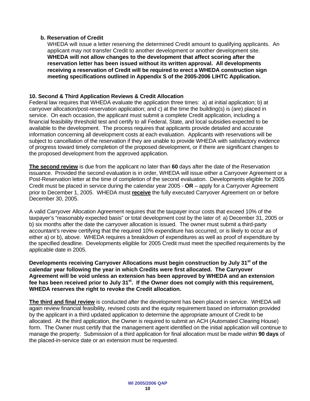#### **b. Reservation of Credit**

WHEDA will issue a letter reserving the determined Credit amount to qualifying applicants. An applicant may not transfer Credit to another development or another development site. **WHEDA will not allow changes to the development that affect scoring after the reservation letter has been issued without its written approval. All developments receiving a reservation of Credit will be required to erect a WHEDA construction sign meeting specifications outlined in Appendix S of the 2005-2006 LIHTC Application.** 

#### **10. Second & Third Application Reviews & Credit Allocation**

Federal law requires that WHEDA evaluate the application three times: a) at initial application; b) at carryover allocation/post-reservation application; and c) at the time the building(s) is (are) placed in service. On each occasion, the applicant must submit a complete Credit application, including a financial feasibility threshold test and certify to all Federal, State, and local subsidies expected to be available to the development. The process requires that applicants provide detailed and accurate information concerning all development costs at each evaluation. Applicants with reservations will be subject to cancellation of the reservation if they are unable to provide WHEDA with satisfactory evidence of progress toward timely completion of the proposed development, or if there are significant changes to the proposed development from the approved application.

**The second review** is due from the applicant no later than **60** days after the date of the Reservation issuance. Provided the second evaluation is in order, WHEDA will issue either a Carryover Agreement or a Post-Reservation letter at the time of completion of the second evaluation. Developments eligible for 2005 Credit must be placed in service during the calendar year 2005 - **OR** – apply for a Carryover Agreement prior to December 1, 2005. WHEDA must **receive** the fully executed Carryover Agreement on or before December 30, 2005.

A valid Carryover Allocation Agreement requires that the taxpayer incur costs that exceed 10% of the taxpayer's "reasonably expected basis" or total development cost by the later of: a) December 31, 2005 or b) six months after the date the carryover allocation is issued. The owner must submit a third-party accountant's review certifying that the required 10% expenditure has occurred, or is likely to occur as of either a) or b), above. WHEDA requires a breakdown of expenditures as well as proof of expenditure by the specified deadline. Developments eligible for 2005 Credit must meet the specified requirements by the applicable date in 2005.

**Developments receiving Carryover Allocations must begin construction by July 31st of the calendar year following the year in which Credits were first allocated. The Carryover Agreement will be void unless an extension has been approved by WHEDA and an extension fee has been received prior to July 31st. If the Owner does not comply with this requirement, WHEDA reserves the right to revoke the Credit allocation.**

**The third and final review** is conducted after the development has been placed in service. WHEDA will again review financial feasibility, revised costs and the equity requirement based on information provided by the applicant in a third updated application to determine the appropriate amount of Credit to be allocated. At the third application, the Owner is required to submit an ACH (Automated Clearing House) form. The Owner must certify that the management agent identified on the initial application will continue to manage the property. Submission of a third application for final allocation must be made within **90 days** of the placed-in-service date or an extension must be requested.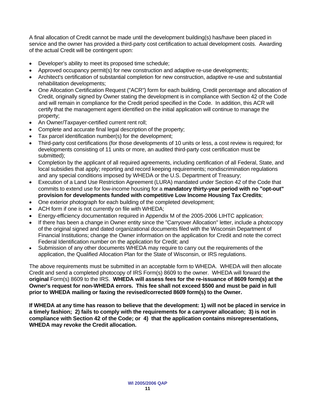A final allocation of Credit cannot be made until the development building(s) has/have been placed in service and the owner has provided a third-party cost certification to actual development costs. Awarding of the actual Credit will be contingent upon:

- Developer's ability to meet its proposed time schedule;
- Approved occupancy permit(s) for new construction and adaptive re-use developments;
- Architect's certification of substantial completion for new construction, adaptive re-use and substantial rehabilitation developments;
- One Allocation Certification Request ("ACR") form for each building, Credit percentage and allocation of Credit, originally signed by Owner stating the development is in compliance with Section 42 of the Code and will remain in compliance for the Credit period specified in the Code. In addition, this ACR will certify that the management agent identified on the initial application will continue to manage the property;
- An Owner/Taxpayer-certified current rent roll;
- Complete and accurate final legal description of the property;
- Tax parcel identification number(s) for the development;
- Third-party cost certifications (for those developments of 10 units or less, a cost review is required; for developments consisting of 11 units or more, an audited third-party cost certification must be submitted);
- Completion by the applicant of all required agreements, including certification of all Federal, State, and local subsidies that apply; reporting and record keeping requirements; nondiscrimination regulations and any special conditions imposed by WHEDA or the U.S. Department of Treasury;
- Execution of a Land Use Restriction Agreement (LURA) mandated under Section 42 of the Code that commits to extend use for low-income housing for a **mandatory thirty-year period with no "opt-out" provision for developments funded with competitive Low Income Housing Tax Credits**;
- One exterior photograph for each building of the completed development;
- ACH form if one is not currently on file with WHEDA;
- Energy-efficiency documentation required in Appendix M of the 2005-2006 LIHTC application;
- If there has been a change in Owner entity since the "Carryover Allocation" letter, include a photocopy of the original signed and dated organizational documents filed with the Wisconsin Department of Financial Institutions; change the Owner information on the application for Credit and note the correct Federal Identification number on the application for Credit; and
- Submission of any other documents WHEDA may require to carry out the requirements of the application, the Qualified Allocation Plan for the State of Wisconsin, or IRS regulations.

The above requirements must be submitted in an acceptable form to WHEDA. WHEDA will then allocate Credit and send a completed photocopy of IRS Form(s) 8609 to the owner. WHEDA will forward the **original** Form(s) 8609 to the IRS. **WHEDA will assess fees for the re-issuance of 8609 form(s) at the Owner's request for non-WHEDA errors. This fee shall not exceed \$500 and must be paid in full prior to WHEDA mailing or faxing the revised/corrected 8609 form(s) to the Owner.** 

**If WHEDA at any time has reason to believe that the development: 1) will not be placed in service in a timely fashion; 2) fails to comply with the requirements for a carryover allocation; 3) is not in compliance with Section 42 of the Code; or 4) that the application contains misrepresentations, WHEDA may revoke the Credit allocation.**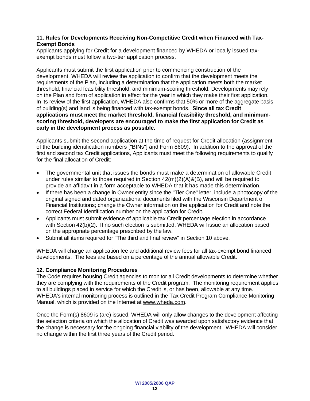#### **11. Rules for Developments Receiving Non-Competitive Credit when Financed with Tax-Exempt Bonds**

Applicants applying for Credit for a development financed by WHEDA or locally issued taxexempt bonds must follow a two-tier application process.

Applicants must submit the first application prior to commencing construction of the development. WHEDA will review the application to confirm that the development meets the requirements of the Plan, including a determination that the application meets both the market threshold, financial feasibility threshold, and minimum-scoring threshold. Developments may rely on the Plan and form of application in effect for the year in which they make their first application. In its review of the first application, WHEDA also confirms that 50% or more of the aggregate basis of building(s) and land is being financed with tax-exempt bonds. **Since all tax Credit applications must meet the market threshold, financial feasibility threshold, and minimumscoring threshold, developers are encouraged to make the first application for Credit as early in the development process as possible.** 

Applicants submit the second application at the time of request for Credit allocation (assignment of the building identification numbers ["BINs"] and Form 8609). In addition to the approval of the first and second tax Credit applications, Applicants must meet the following requirements to qualify for the final allocation of Credit:

- The governmental unit that issues the bonds must make a determination of allowable Credit under rules similar to those required in Section  $42(m)(2)(A)$ &(B), and will be required to provide an affidavit in a form acceptable to WHEDA that it has made this determination.
- If there has been a change in Owner entity since the "Tier One" letter, include a photocopy of the original signed and dated organizational documents filed with the Wisconsin Department of Financial Institutions; change the Owner information on the application for Credit and note the correct Federal Identification number on the application for Credit.
- Applicants must submit evidence of applicable tax Credit percentage election in accordance with Section 42(b)(2). If no such election is submitted, WHEDA will issue an allocation based on the appropriate percentage prescribed by the law.
- Submit all items required for "The third and final review" in Section 10 above.

WHEDA will charge an application fee and additional review fees for all tax-exempt bond financed developments. The fees are based on a percentage of the annual allowable Credit.

#### **12. Compliance Monitoring Procedures**

The Code requires housing Credit agencies to monitor all Credit developments to determine whether they are complying with the requirements of the Credit program. The monitoring requirement applies to all buildings placed in service for which the Credit is, or has been, allowable at any time. WHEDA's internal monitoring process is outlined in the Tax Credit Program Compliance Monitoring Manual, which is provided on the Internet at [www.wheda.com.](http://www.wheda.com/)

Once the Form(s) 8609 is (are) issued, WHEDA will only allow changes to the development affecting the selection criteria on which the allocation of Credit was awarded upon satisfactory evidence that the change is necessary for the ongoing financial viability of the development. WHEDA will consider no change within the first three years of the Credit period.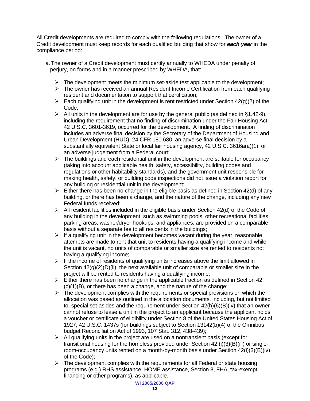All Credit developments are required to comply with the following regulations: The owner of a Credit development must keep records for each qualified building that show for *each year* in the compliance period:

- a. The owner of a Credit development must certify annually to WHEDA under penalty of perjury, on forms and in a manner prescribed by WHEDA, that:
	- $\triangleright$  The development meets the minimum set-aside test applicable to the development;
	- $\triangleright$  The owner has received an annual Resident Income Certification from each qualifying resident and documentation to support that certification;
	- $\triangleright$  Each qualifying unit in the development is rent restricted under Section 42(g)(2) of the Code;
	- $\triangleright$  All units in the development are for use by the general public (as defined in §1.42-9), including the requirement that no finding of discrimination under the Fair Housing Act, 42 U.S.C. 3601-3619, occurred for the development. A finding of discrimination includes an adverse final decision by the Secretary of the Department of Housing and Urban Development (HUD), 24 CFR 180.680, an adverse final decision by a substantially equivalent State or local fair housing agency, 42 U.S.C. 3616a(a)(1), or an adverse judgement from a Federal court;
	- $\triangleright$  The buildings and each residential unit in the development are suitable for occupancy (taking into account applicable health, safety, accessibility, building codes and regulations or other habitability standards), and the government unit responsible for making health, safety, or building code inspections did not issue a violation report for any building or residential unit in the development;
	- $\triangleright$  Either there has been no change in the eligible basis as defined in Section 42(d) of any building, or there has been a change, and the nature of the change, including any new Federal funds received;
	- $\triangleright$  All resident facilities included in the eligible basis under Section 42(d) of the Code of any building in the development, such as swimming pools, other recreational facilities, parking areas, washer/dryer hookups, and appliances, are provided on a comparable basis without a separate fee to all residents in the buildings;
	- $\triangleright$  If a qualifying unit in the development becomes vacant during the year, reasonable attempts are made to rent that unit to residents having a qualifying income and while the unit is vacant, no units of comparable or smaller size are rented to residents not having a qualifying income;
	- $\triangleright$  If the income of residents of qualifying units increases above the limit allowed in Section  $42(g)(2)(D)(ii)$ , the next available unit of comparable or smaller size in the project will be rented to residents having a qualifying income;
	- $\triangleright$  Either there has been no change in the applicable fraction as defined in Section 42  $(c)(1)(B)$ , or there has been a change, and the nature of the change;
	- $\triangleright$  The development complies with the requirements or special provisions on which the allocation was based as outlined in the allocation documents, including, but not limited to, special set-asides and the requirement under Section 42(h)(6)(B)(iv) that an owner cannot refuse to lease a unit in the project to an applicant because the applicant holds a voucher or certificate of eligibility under Section 8 of the United States Housing Act of 1927, 42 U.S.C. 1437s (for buildings subject to Section 13142(b)(4) of the Omnibus budget Reconciliation Act of 1993, 107 Stat. 312, 438-439);
	- $\triangleright$  All qualifying units in the project are used on a nontransient basis (except for transitional housing for the homeless provided under Section 42 (i)(3)(B)(iii) or singleroom-occupancy units rented on a month-by-month basis under Section 42(i)(3)(B)(iv) of the Code);
	- $\triangleright$  The development complies with the requirements for all Federal or state housing programs (e.g.) RHS assistance, HOME assistance, Section 8, FHA, tax-exempt financing or other programs), as applicable.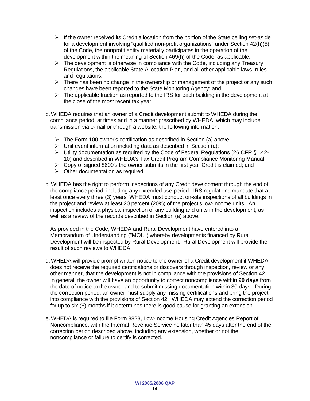- $\triangleright$  If the owner received its Credit allocation from the portion of the State ceiling set-aside for a development involving "qualified non-profit organizations" under Section 42(h)(5) of the Code, the nonprofit entity materially participates in the operation of the development within the meaning of Section 469(h) of the Code, as applicable;
- $\triangleright$  The development is otherwise in compliance with the Code, including any Treasury Regulations, the applicable State Allocation Plan, and all other applicable laws, rules and regulations;
- $\triangleright$  There has been no change in the ownership or management of the project or any such changes have been reported to the State Monitoring Agency; and,
- $\triangleright$  The applicable fraction as reported to the IRS for each building in the development at the close of the most recent tax year.
- b. WHEDA requires that an owner of a Credit development submit to WHEDA during the compliance period, at times and in a manner prescribed by WHEDA, which may include transmission via e-mail or through a website, the following information:
	- $\triangleright$  The Form 100 owner's certification as described in Section (a) above;
	- $\triangleright$  Unit event information including data as described in Section (a);
	- $\triangleright$  Utility documentation as required by the Code of Federal Regulations (26 CFR §1.42-10) and described in WHEDA's Tax Credit Program Compliance Monitoring Manual;
	- $\triangleright$  Copy of signed 8609's the owner submits in the first year Credit is claimed; and
	- $\triangleright$  Other documentation as required.
- c. WHEDA has the right to perform inspections of any Credit development through the end of the compliance period, including any extended use period. IRS regulations mandate that at least once every three (3) years, WHEDA must conduct on-site inspections of all buildings in the project and review at least 20 percent (20%) of the project's low-income units. An inspection includes a physical inspection of any building and units in the development, as well as a review of the records described in Section (a) above.

 As provided in the Code, WHEDA and Rural Development have entered into a Memorandum of Understanding ("MOU") whereby developments financed by Rural Development will be inspected by Rural Development. Rural Development will provide the result of such reviews to WHEDA.

- d. WHEDA will provide prompt written notice to the owner of a Credit development if WHEDA does not receive the required certifications or discovers through inspection, review or any other manner, that the development is not in compliance with the provisions of Section 42. In general, the owner will have an opportunity to correct noncompliance within **90 days** from the date of notice to the owner and to submit missing documentation within 30 days. During the correction period, an owner must supply any missing certifications and bring the project into compliance with the provisions of Section 42. WHEDA may extend the correction period for up to six (6) months if it determines there is good cause for granting an extension.
- e. WHEDA is required to file Form 8823, Low-Income Housing Credit Agencies Report of Noncompliance, with the Internal Revenue Service no later than 45 days after the end of the correction period described above, including any extension, whether or not the noncompliance or failure to certify is corrected.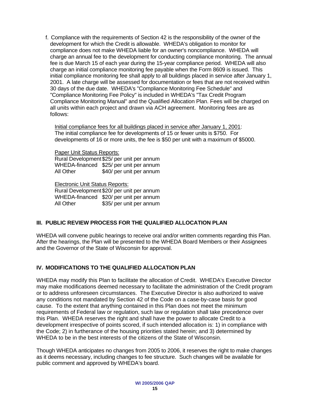f. Compliance with the requirements of Section 42 is the responsibility of the owner of the development for which the Credit is allowable. WHEDA's obligation to monitor for compliance does not make WHEDA liable for an owner's noncompliance. WHEDA will charge an annual fee to the development for conducting compliance monitoring. The annual fee is due March 15 of each year during the 15-year compliance period. WHEDA will also charge an initial compliance monitoring fee payable when the Form 8609 is issued. This initial compliance monitoring fee shall apply to all buildings placed in service after January 1, 2001. A late charge will be assessed for documentation or fees that are not received within 30 days of the due date. WHEDA's "Compliance Monitoring Fee Schedule" and "Compliance Monitoring Fee Policy" is included in WHEDA's "Tax Credit Program Compliance Monitoring Manual" and the Qualified Allocation Plan. Fees will be charged on all units within each project and drawn via ACH agreement. Monitoring fees are as follows:

Initial compliance fees for all buildings placed in service after January 1, 2001: The initial compliance fee for developments of 15 or fewer units is \$750. For developments of 16 or more units, the fee is \$50 per unit with a maximum of \$5000.

Paper Unit Status Reports:

Rural Development \$25/ per unit per annum WHEDA-financed \$25/ per unit per annum All Other \$40/ per unit per annum

Electronic Unit Status Reports:

Rural Development \$20/ per unit per annum WHEDA-financed \$20/ per unit per annum All Other \$35/ per unit per annum

#### **III. PUBLIC REVIEW PROCESS FOR THE QUALIFIED ALLOCATION PLAN**

WHEDA will convene public hearings to receive oral and/or written comments regarding this Plan. After the hearings, the Plan will be presented to the WHEDA Board Members or their Assignees and the Governor of the State of Wisconsin for approval.

### **IV. MODIFICATIONS TO THE QUALIFIED ALLOCATION PLAN**

WHEDA may modify this Plan to facilitate the allocation of Credit. WHEDA's Executive Director may make modifications deemed necessary to facilitate the administration of the Credit program or to address unforeseen circumstances. The Executive Director is also authorized to waive any conditions not mandated by Section 42 of the Code on a case-by-case basis for good cause. To the extent that anything contained in this Plan does not meet the minimum requirements of Federal law or regulation, such law or regulation shall take precedence over this Plan. WHEDA reserves the right and shall have the power to allocate Credit to a development irrespective of points scored, if such intended allocation is: 1) in compliance with the Code; 2) in furtherance of the housing priorities stated herein; and 3) determined by WHEDA to be in the best interests of the citizens of the State of Wisconsin.

Though WHEDA anticipates no changes from 2005 to 2006, it reserves the right to make changes as it deems necessary, including changes to fee structure. Such changes will be available for public comment and approved by WHEDA's board.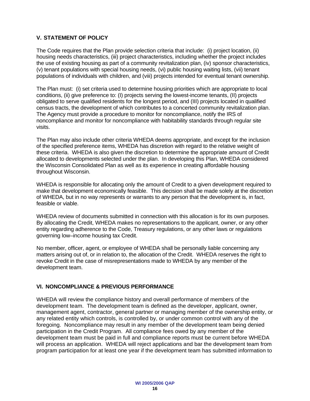### **V. STATEMENT OF POLICY**

The Code requires that the Plan provide selection criteria that include: (i) project location, (ii) housing needs characteristics, (iii) project characteristics, including whether the project includes the use of existing housing as part of a community revitalization plan, (iv) sponsor characteristics, (v) tenant populations with special housing needs, (vi) public housing waiting lists, (vii) tenant populations of individuals with children, and (viii) projects intended for eventual tenant ownership.

The Plan must: (i) set criteria used to determine housing priorities which are appropriate to local conditions, (ii) give preference to: (I) projects serving the lowest-income tenants, (II) projects obligated to serve qualified residents for the longest period, and (III) projects located in qualified census tracts, the development of which contributes to a concerted community revitalization plan. The Agency must provide a procedure to monitor for noncompliance, notify the IRS of noncompliance and monitor for noncompliance with habitability standards through regular site visits.

The Plan may also include other criteria WHEDA deems appropriate, and except for the inclusion of the specified preference items, WHEDA has discretion with regard to the relative weight of these criteria. WHEDA is also given the discretion to determine the appropriate amount of Credit allocated to developments selected under the plan. In developing this Plan, WHEDA considered the Wisconsin Consolidated Plan as well as its experience in creating affordable housing throughout Wisconsin.

WHEDA is responsible for allocating only the amount of Credit to a given development required to make that development economically feasible. This decision shall be made solely at the discretion of WHEDA, but in no way represents or warrants to any person that the development is, in fact, feasible or viable.

WHEDA review of documents submitted in connection with this allocation is for its own purposes. By allocating the Credit, WHEDA makes no representations to the applicant, owner, or any other entity regarding adherence to the Code, Treasury regulations, or any other laws or regulations governing low–income housing tax Credit.

No member, officer, agent, or employee of WHEDA shall be personally liable concerning any matters arising out of, or in relation to, the allocation of the Credit. WHEDA reserves the right to revoke Credit in the case of misrepresentations made to WHEDA by any member of the development team.

#### **VI. NONCOMPLIANCE & PREVIOUS PERFORMANCE**

WHEDA will review the compliance history and overall performance of members of the development team. The development team is defined as the developer, applicant, owner, management agent, contractor, general partner or managing member of the ownership entity, or any related entity which controls, is controlled by, or under common control with any of the foregoing. Noncompliance may result in any member of the development team being denied participation in the Credit Program. All compliance fees owed by any member of the development team must be paid in full and compliance reports must be current before WHEDA will process an application. WHEDA will reject applications and bar the development team from program participation for at least one year if the development team has submitted information to